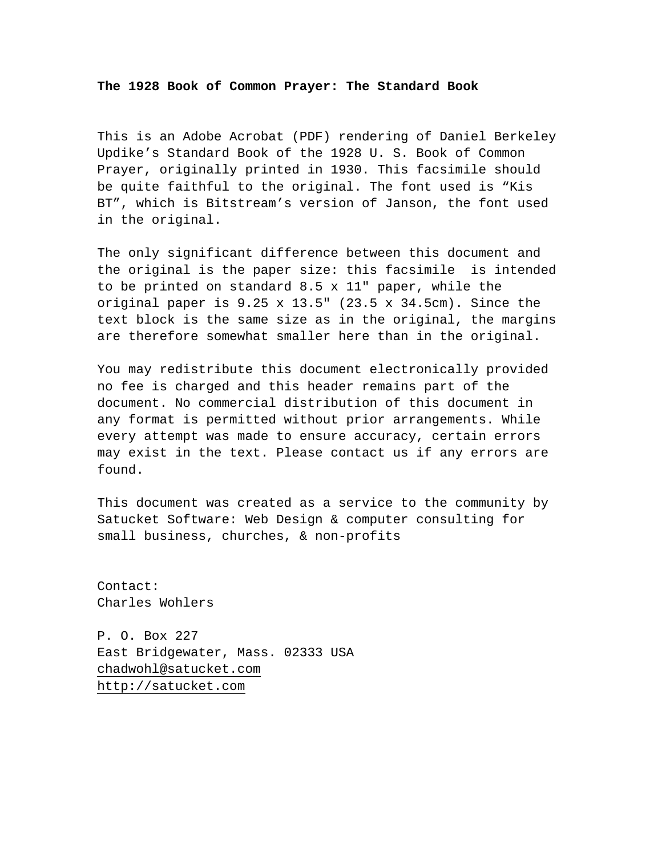**The 1928 Book of Common Prayer: The Standard Book** 

This is an Adobe Acrobat (PDF) rendering of Daniel Berkeley Updike's Standard Book of the 1928 U. S. Book of Common Prayer, originally printed in 1930. This facsimile should be quite faithful to the original. The font used is "Kis BT", which is Bitstream's version of Janson, the font used in the original.

The only significant difference between this document and the original is the paper size: this facsimile is intended to be printed on standard 8.5 x 11" paper, while the original paper is  $9.25 \times 13.5$ " (23.5  $\times$  34.5cm). Since the text block is the same size as in the original, the margins are therefore somewhat smaller here than in the original.

You may redistribute this document electronically provided no fee is charged and this header remains part of the document. No commercial distribution of this document in any format is permitted without prior arrangements. While every attempt was made to ensure accuracy, certain errors may exist in the text. Please contact us if any errors are found.

This document was created as a service to the community by Satucket Software: Web Design & computer consulting for small business, churches, & non-profits

Contact: Charles Wohlers

P. O. Box 227 East Bridgewater, Mass. 02333 USA [chadwohl@satucket.com](mailto:chadwohl@satucket.com) [http://satucket.com](mailto:chadwohl@satucket.com)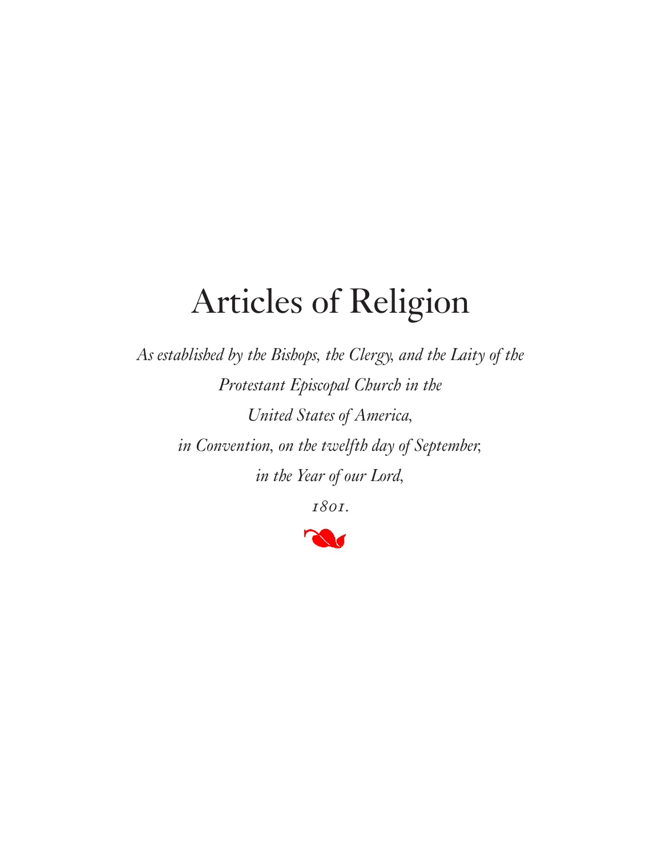*As established by the Bishops, the Clergy, and the Laity of the Protestant Episcopal Church in the United States of America, in Convention, on the twelfth day of September, in the Year of our Lord,* 

*1801.*

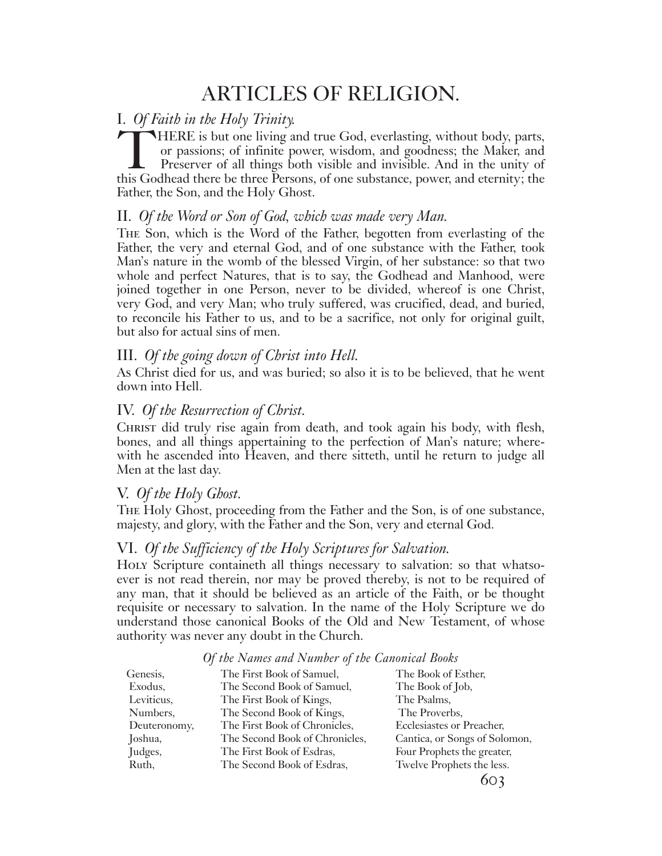## ARTICLES OF RELIGION.

#### I. *Of Faith in the Holy Trinity.*

THERE is but one living and true God, everlasting, without body, parts, or passions; of infinite power, wisdom, and goodness; the Maker, and Preserver of all things both visible and invisible. And in the unity of this Godhead there be three Persons, of one substance, power, and eternity; the Father, the Son, and the Holy Ghost.

#### II. *Of the Word or Son of God, which was made very Man.*

The Son, which is the Word of the Father, begotten from everlasting of the Father, the very and eternal God, and of one substance with the Father, took Man's nature in the womb of the blessed Virgin, of her substance: so that two whole and perfect Natures, that is to say, the Godhead and Manhood, were joined together in one Person, never to be divided, whereof is one Christ, very God, and very Man; who truly suffered, was crucified, dead, and buried, to reconcile his Father to us, and to be a sacrifice, not only for original guilt, but also for actual sins of men.

### III. *Of the going down of Christ into Hell.*

As Christ died for us, and was buried; so also it is to be believed, that he went down into Hell.

### IV. *Of the Resurrection of Christ.*

CHRIST did truly rise again from death, and took again his body, with flesh, bones, and all things appertaining to the perfection of Man's nature; wherewith he ascended into Heaven, and there sitteth, until he return to judge all Men at the last day.

#### V. *Of the Holy Ghost.*

The Holy Ghost, proceeding from the Father and the Son, is of one substance, majesty, and glory, with the Father and the Son, very and eternal God.

#### VI. *Of the Sufficiency of the Holy Scriptures for Salvation.*

Holy Scripture containeth all things necessary to salvation: so that whatsoever is not read therein, nor may be proved thereby, is not to be required of any man, that it should be believed as an article of the Faith, or be thought requisite or necessary to salvation. In the name of the Holy Scripture we do understand those canonical Books of the Old and New Testament, of whose authority was never any doubt in the Church.

| Genesis,     | The First Book of Samuel,      | The Book of Esther,           |
|--------------|--------------------------------|-------------------------------|
| Exodus,      | The Second Book of Samuel,     | The Book of Job,              |
| Leviticus,   | The First Book of Kings,       | The Psalms,                   |
| Numbers,     | The Second Book of Kings,      | The Proverbs,                 |
| Deuteronomy, | The First Book of Chronicles,  | Ecclesiastes or Preacher,     |
| Joshua,      | The Second Book of Chronicles, | Cantica, or Songs of Solomon, |
| Judges,      | The First Book of Esdras,      | Four Prophets the greater,    |
| Ruth,        | The Second Book of Esdras,     | Twelve Prophets the less.     |
|              |                                |                               |

#### *Of the Names and Number of the Canonical Books*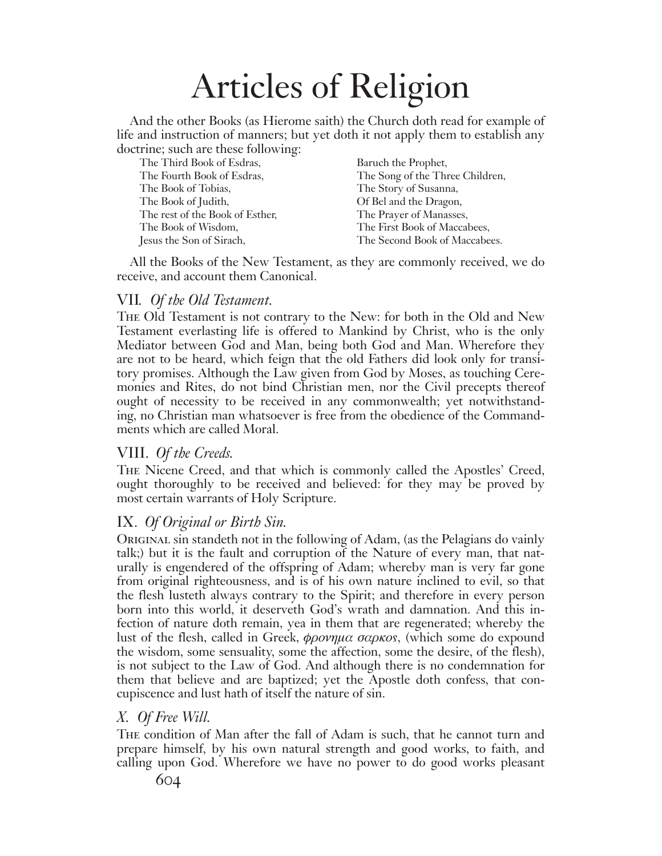And the other Books (as Hierome saith) the Church doth read for example of life and instruction of manners; but yet doth it not apply them to establish any doctrine; such are these following:

| $\frac{1}{2}$ . $\frac{1}{2}$ and $\frac{1}{2}$ and $\frac{1}{2}$ and $\frac{1}{2}$ and $\frac{1}{2}$ . |                                 |
|---------------------------------------------------------------------------------------------------------|---------------------------------|
| The Third Book of Esdras,                                                                               | Baruch the Prophet,             |
| The Fourth Book of Esdras,                                                                              | The Song of the Three Children, |
| The Book of Tobias,                                                                                     | The Story of Susanna,           |
| The Book of Judith,                                                                                     | Of Bel and the Dragon,          |
| The rest of the Book of Esther,                                                                         | The Prayer of Manasses,         |
| The Book of Wisdom,                                                                                     | The First Book of Maccabees,    |
| Jesus the Son of Sirach,                                                                                | The Second Book of Maccabees.   |
|                                                                                                         |                                 |

All the Books of the New Testament, as they are commonly received, we do receive, and account them Canonical.

### VII*. Of the Old Testament.*

The Old Testament is not contrary to the New: for both in the Old and New Testament everlasting life is offered to Mankind by Christ, who is the only Mediator between God and Man, being both God and Man. Wherefore they are not to be heard, which feign that the old Fathers did look only for transitory promises. Although the Law given from God by Moses, as touching Ceremonies and Rites, do not bind Christian men, nor the Civil precepts thereof ought of necessity to be received in any commonwealth; yet notwithstanding, no Christian man whatsoever is free from the obedience of the Commandments which are called Moral.

## VIII. *Of the Creeds.*

The Nicene Creed, and that which is commonly called the Apostles' Creed, ought thoroughly to be received and believed: for they may be proved by most certain warrants of Holy Scripture.

## IX. *Of Original or Birth Sin.*

Original sin standeth not in the following of Adam, (as the Pelagians do vainly talk;) but it is the fault and corruption of the Nature of every man, that naturally is engendered of the offspring of Adam; whereby man is very far gone from original righteousness, and is of his own nature inclined to evil, so that the flesh lusteth always contrary to the Spirit; and therefore in every person born into this world, it deserveth God's wrath and damnation. And this infection of nature doth remain, yea in them that are regenerated; whereby the lust of the flesh, called in Greek,  $\phi \rho \omega \eta \mu \alpha \sigma \alpha \rho \kappa \sigma s$ , (which some do expound the wisdom, some sensuality, some the affection, some the desire, of the flesh), is not subject to the Law of God. And although there is no condemnation for them that believe and are baptized; yet the Apostle doth confess, that concupiscence and lust hath of itself the nature of sin.

## *X. Of Free Will.*

The condition of Man after the fall of Adam is such, that he cannot turn and prepare himself, by his own natural strength and good works, to faith, and calling upon God. Wherefore we have no power to do good works pleasant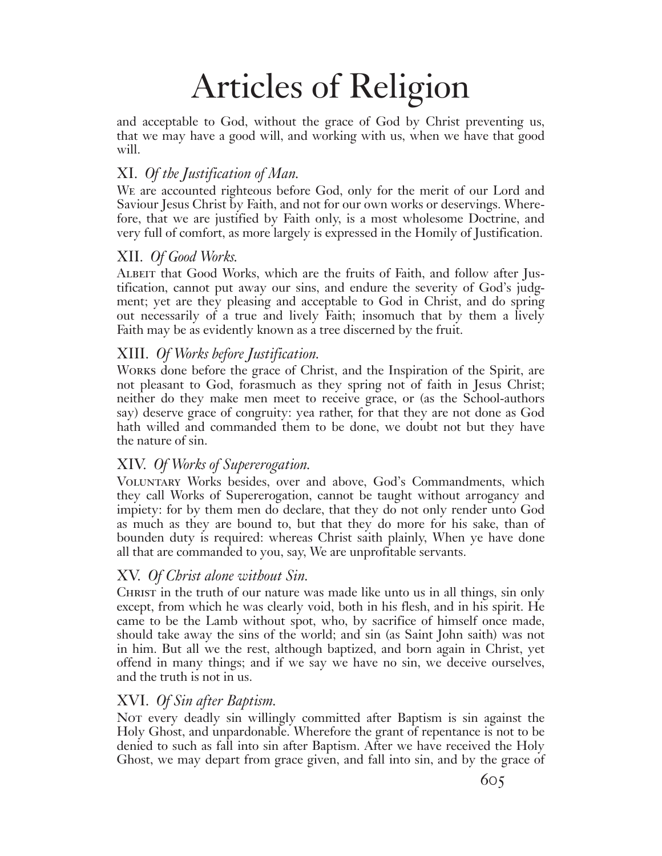and acceptable to God, without the grace of God by Christ preventing us, that we may have a good will, and working with us, when we have that good will.

## XI. *Of the Justification of Man.*

We are accounted righteous before God, only for the merit of our Lord and Saviour Jesus Christ by Faith, and not for our own works or deservings. Wherefore, that we are justified by Faith only, is a most wholesome Doctrine, and very full of comfort, as more largely is expressed in the Homily of Justification.

## XII. *Of Good Works.*

Albeit that Good Works, which are the fruits of Faith, and follow after Justification, cannot put away our sins, and endure the severity of God's judgment; yet are they pleasing and acceptable to God in Christ, and do spring out necessarily of a true and lively Faith; insomuch that by them a lively Faith may be as evidently known as a tree discerned by the fruit.

## XIII. *Of Works before Justification.*

Works done before the grace of Christ, and the Inspiration of the Spirit, are not pleasant to God, forasmuch as they spring not of faith in Jesus Christ; neither do they make men meet to receive grace, or (as the School-authors say) deserve grace of congruity: yea rather, for that they are not done as God hath willed and commanded them to be done, we doubt not but they have the nature of sin.

## XIV. *Of Works of Supererogation.*

Voluntary Works besides, over and above, God's Commandments, which they call Works of Supererogation, cannot be taught without arrogancy and impiety: for by them men do declare, that they do not only render unto God as much as they are bound to, but that they do more for his sake, than of bounden duty is required: whereas Christ saith plainly, When ye have done all that are commanded to you, say, We are unprofitable servants.

## XV. *Of Christ alone without Sin.*

CHRIST in the truth of our nature was made like unto us in all things, sin only except, from which he was clearly void, both in his flesh, and in his spirit. He came to be the Lamb without spot, who, by sacrifice of himself once made, should take away the sins of the world; and sin (as Saint John saith) was not in him. But all we the rest, although baptized, and born again in Christ, yet offend in many things; and if we say we have no sin, we deceive ourselves, and the truth is not in us.

## XVI. *Of Sin after Baptism.*

Not every deadly sin willingly committed after Baptism is sin against the Holy Ghost, and unpardonable. Wherefore the grant of repentance is not to be denied to such as fall into sin after Baptism. After we have received the Holy Ghost, we may depart from grace given, and fall into sin, and by the grace of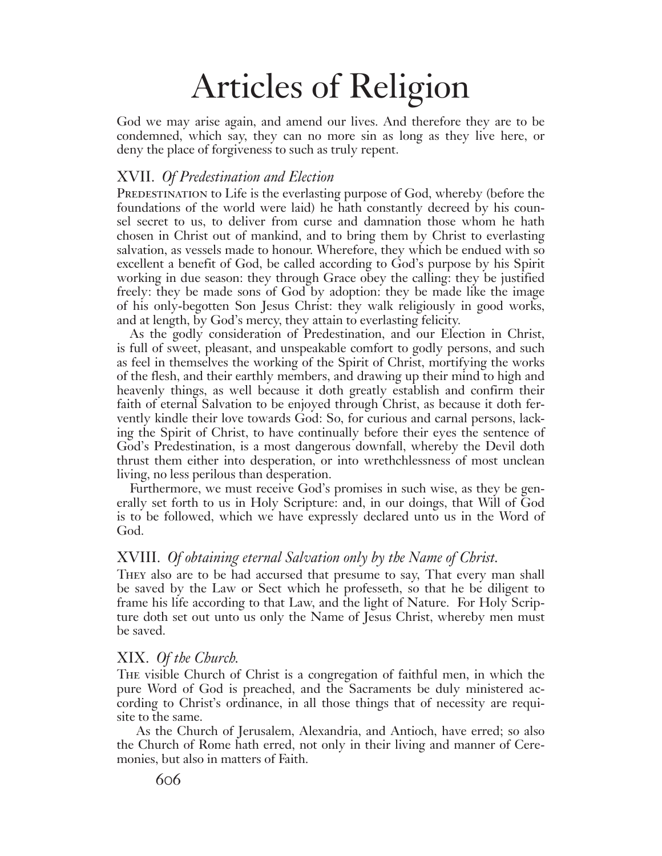God we may arise again, and amend our lives. And therefore they are to be condemned, which say, they can no more sin as long as they live here, or deny the place of forgiveness to such as truly repent.

#### XVII. *Of Predestination and Election*

PREDESTINATION to Life is the everlasting purpose of God, whereby (before the foundations of the world were laid) he hath constantly decreed by his counsel secret to us, to deliver from curse and damnation those whom he hath chosen in Christ out of mankind, and to bring them by Christ to everlasting salvation, as vessels made to honour. Wherefore, they which be endued with so excellent a benefit of God, be called according to God's purpose by his Spirit working in due season: they through Grace obey the calling: they be justified freely: they be made sons of God by adoption: they be made like the image of his only-begotten Son Jesus Christ: they walk religiously in good works, and at length, by God's mercy, they attain to everlasting felicity.

As the godly consideration of Predestination, and our Election in Christ, is full of sweet, pleasant, and unspeakable comfort to godly persons, and such as feel in themselves the working of the Spirit of Christ, mortifying the works of the flesh, and their earthly members, and drawing up their mind to high and heavenly things, as well because it doth greatly establish and confirm their faith of eternal Salvation to be enjoyed through Christ, as because it doth fervently kindle their love towards God: So, for curious and carnal persons, lacking the Spirit of Christ, to have continually before their eyes the sentence of God's Predestination, is a most dangerous downfall, whereby the Devil doth thrust them either into desperation, or into wrethchlessness of most unclean living, no less perilous than desperation.

Furthermore, we must receive God's promises in such wise, as they be generally set forth to us in Holy Scripture: and, in our doings, that Will of God is to be followed, which we have expressly declared unto us in the Word of God.

#### XVIII. *Of obtaining eternal Salvation only by the Name of Christ.*

They also are to be had accursed that presume to say, That every man shall be saved by the Law or Sect which he professeth, so that he be diligent to frame his life according to that Law, and the light of Nature. For Holy Scripture doth set out unto us only the Name of Jesus Christ, whereby men must be saved.

#### XIX. *Of the Church.*

The visible Church of Christ is a congregation of faithful men, in which the pure Word of God is preached, and the Sacraments be duly ministered according to Christ's ordinance, in all those things that of necessity are requisite to the same.

 As the Church of Jerusalem, Alexandria, and Antioch, have erred; so also the Church of Rome hath erred, not only in their living and manner of Ceremonies, but also in matters of Faith.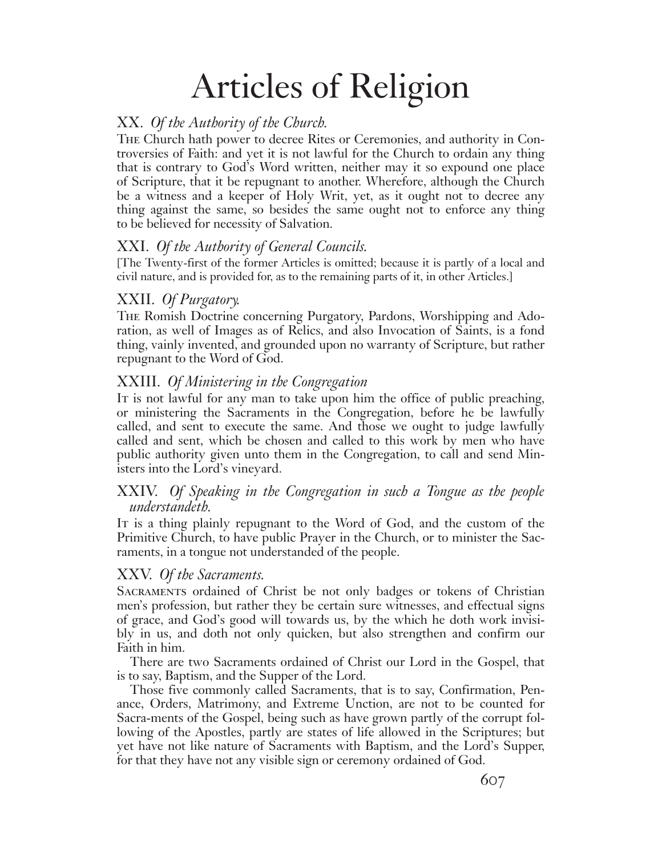## XX. *Of the Authority of the Church.*

The Church hath power to decree Rites or Ceremonies, and authority in Controversies of Faith: and yet it is not lawful for the Church to ordain any thing that is contrary to God's Word written, neither may it so expound one place of Scripture, that it be repugnant to another. Wherefore, although the Church be a witness and a keeper of Holy Writ, yet, as it ought not to decree any thing against the same, so besides the same ought not to enforce any thing to be believed for necessity of Salvation.

## XXI. *Of the Authority of General Councils.*

[The Twenty-first of the former Articles is omitted; because it is partly of a local and civil nature, and is provided for, as to the remaining parts of it, in other Articles.]

## XXII. *Of Purgatory.*

The Romish Doctrine concerning Purgatory, Pardons, Worshipping and Adoration, as well of Images as of Relics, and also Invocation of Saints, is a fond thing, vainly invented, and grounded upon no warranty of Scripture, but rather repugnant to the Word of God.

## XXIII. *Of Ministering in the Congregation*

It is not lawful for any man to take upon him the office of public preaching, or ministering the Sacraments in the Congregation, before he be lawfully called, and sent to execute the same. And those we ought to judge lawfully called and sent, which be chosen and called to this work by men who have public authority given unto them in the Congregation, to call and send Ministers into the Lord's vineyard.

## XXIV. *Of Speaking in the Congregation in such a Tongue as the people understandeth.*

It is a thing plainly repugnant to the Word of God, and the custom of the Primitive Church, to have public Prayer in the Church, or to minister the Sacraments, in a tongue not understanded of the people.

## XXV. *Of the Sacraments.*

Sacraments ordained of Christ be not only badges or tokens of Christian men's profession, but rather they be certain sure witnesses, and effectual signs of grace, and God's good will towards us, by the which he doth work invisibly in us, and doth not only quicken, but also strengthen and confirm our Faith in him.

There are two Sacraments ordained of Christ our Lord in the Gospel, that is to say, Baptism, and the Supper of the Lord.

Those five commonly called Sacraments, that is to say, Confirmation, Penance, Orders, Matrimony, and Extreme Unction, are not to be counted for Sacra-ments of the Gospel, being such as have grown partly of the corrupt following of the Apostles, partly are states of life allowed in the Scriptures; but yet have not like nature of Sacraments with Baptism, and the Lord's Supper, for that they have not any visible sign or ceremony ordained of God.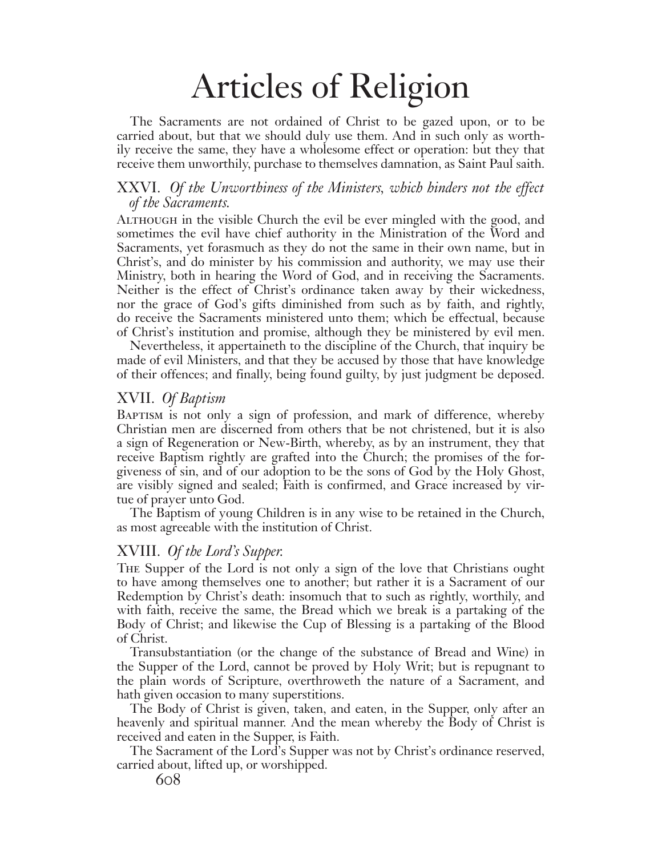The Sacraments are not ordained of Christ to be gazed upon, or to be carried about, but that we should duly use them. And in such only as worthily receive the same, they have a wholesome effect or operation: but they that receive them unworthily, purchase to themselves damnation, as Saint Paul saith.

#### XXVI. *Of the Unworthiness of the Ministers, which hinders not the effect of the Sacraments.*

Although in the visible Church the evil be ever mingled with the good, and sometimes the evil have chief authority in the Ministration of the Word and Sacraments, yet forasmuch as they do not the same in their own name, but in Christ's, and do minister by his commission and authority, we may use their Ministry, both in hearing the Word of God, and in receiving the Sacraments. Neither is the effect of Christ's ordinance taken away by their wickedness, nor the grace of God's gifts diminished from such as by faith, and rightly, do receive the Sacraments ministered unto them; which be effectual, because of Christ's institution and promise, although they be ministered by evil men.

Nevertheless, it appertaineth to the discipline of the Church, that inquiry be made of evil Ministers, and that they be accused by those that have knowledge of their offences; and finally, being found guilty, by just judgment be deposed.

#### XVII. *Of Baptism*

BAPTISM is not only a sign of profession, and mark of difference, whereby Christian men are discerned from others that be not christened, but it is also a sign of Regeneration or New-Birth, whereby, as by an instrument, they that receive Baptism rightly are grafted into the Church; the promises of the forgiveness of sin, and of our adoption to be the sons of God by the Holy Ghost, are visibly signed and sealed; Faith is confirmed, and Grace increased by virtue of prayer unto God.

The Baptism of young Children is in any wise to be retained in the Church, as most agreeable with the institution of Christ.

#### XVIII. *Of the Lord's Supper.*

The Supper of the Lord is not only a sign of the love that Christians ought to have among themselves one to another; but rather it is a Sacrament of our Redemption by Christ's death: insomuch that to such as rightly, worthily, and with faith, receive the same, the Bread which we break is a partaking of the Body of Christ; and likewise the Cup of Blessing is a partaking of the Blood of Christ.

Transubstantiation (or the change of the substance of Bread and Wine) in the Supper of the Lord, cannot be proved by Holy Writ; but is repugnant to the plain words of Scripture, overthroweth the nature of a Sacrament, and hath given occasion to many superstitions.

The Body of Christ is given, taken, and eaten, in the Supper, only after an heavenly and spiritual manner. And the mean whereby the Body of Christ is received and eaten in the Supper, is Faith.

The Sacrament of the Lord's Supper was not by Christ's ordinance reserved, carried about, lifted up, or worshipped.

608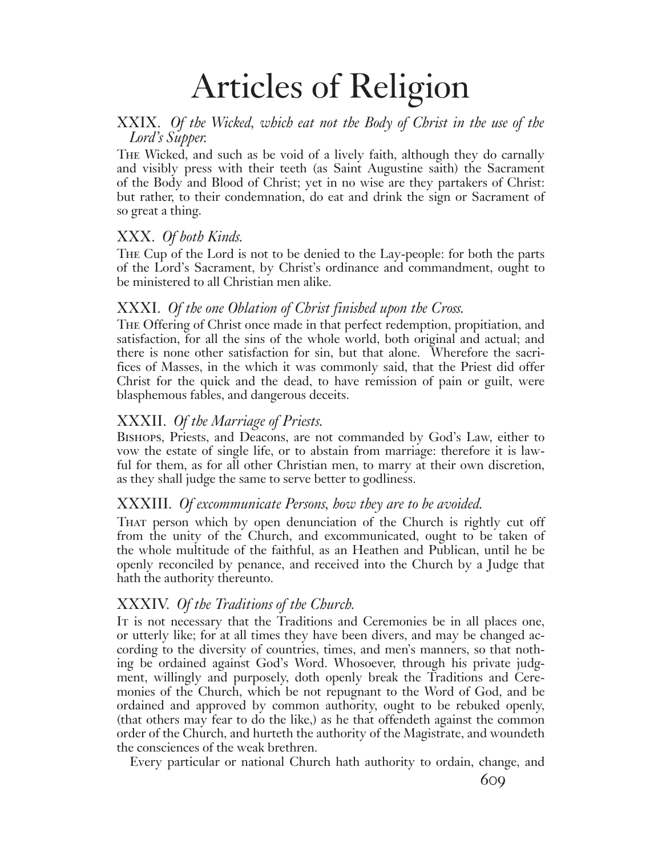## XXIX. *Of the Wicked, which eat not the Body of Christ in the use of the Lord's Supper.*

The Wicked, and such as be void of a lively faith, although they do carnally and visibly press with their teeth (as Saint Augustine saith) the Sacrament of the Body and Blood of Christ; yet in no wise are they partakers of Christ: but rather, to their condemnation, do eat and drink the sign or Sacrament of so great a thing.

## XXX. *Of both Kinds.*

The Cup of the Lord is not to be denied to the Lay-people: for both the parts of the Lord's Sacrament, by Christ's ordinance and commandment, ought to be ministered to all Christian men alike.

## XXXI. *Of the one Oblation of Christ finished upon the Cross.*

The Offering of Christ once made in that perfect redemption, propitiation, and satisfaction, for all the sins of the whole world, both original and actual; and there is none other satisfaction for sin, but that alone. Wherefore the sacrifices of Masses, in the which it was commonly said, that the Priest did offer Christ for the quick and the dead, to have remission of pain or guilt, were blasphemous fables, and dangerous deceits.

## XXXII. *Of the Marriage of Priests.*

Bishops, Priests, and Deacons, are not commanded by God's Law, either to vow the estate of single life, or to abstain from marriage: therefore it is lawful for them, as for all other Christian men, to marry at their own discretion, as they shall judge the same to serve better to godliness.

## XXXIII. *Of excommunicate Persons, how they are to be avoided.*

That person which by open denunciation of the Church is rightly cut off from the unity of the Church, and excommunicated, ought to be taken of the whole multitude of the faithful, as an Heathen and Publican, until he be openly reconciled by penance, and received into the Church by a Judge that hath the authority thereunto.

## XXXIV. *Of the Traditions of the Church.*

It is not necessary that the Traditions and Ceremonies be in all places one, or utterly like; for at all times they have been divers, and may be changed according to the diversity of countries, times, and men's manners, so that nothing be ordained against God's Word. Whosoever, through his private judgment, willingly and purposely, doth openly break the Traditions and Ceremonies of the Church, which be not repugnant to the Word of God, and be ordained and approved by common authority, ought to be rebuked openly, (that others may fear to do the like,) as he that offendeth against the common order of the Church, and hurteth the authority of the Magistrate, and woundeth the consciences of the weak brethren.

Every particular or national Church hath authority to ordain, change, and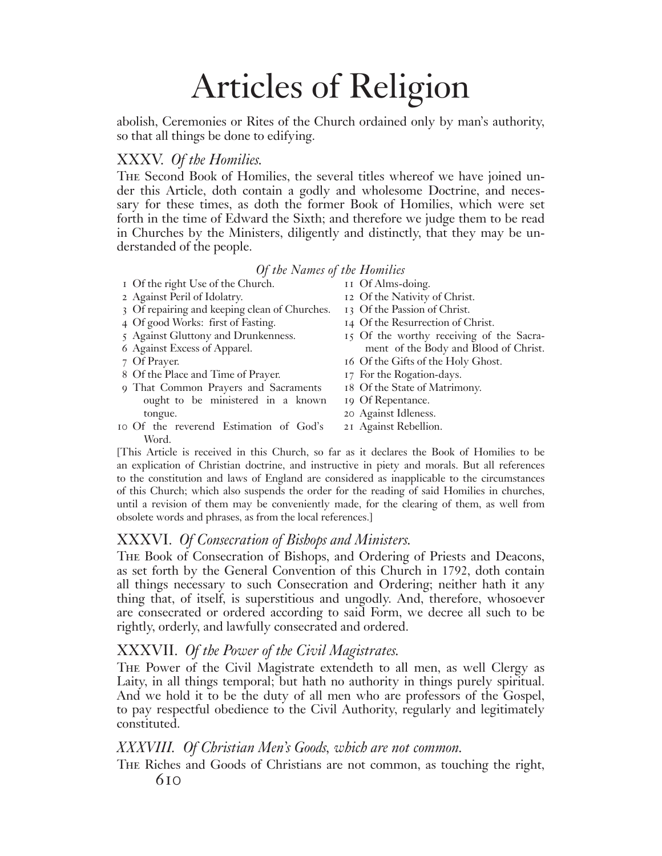abolish, Ceremonies or Rites of the Church ordained only by man's authority, so that all things be done to edifying.

## XXXV. *Of the Homilies.*

The Second Book of Homilies, the several titles whereof we have joined under this Article, doth contain a godly and wholesome Doctrine, and necessary for these times, as doth the former Book of Homilies, which were set forth in the time of Edward the Sixth; and therefore we judge them to be read in Churches by the Ministers, diligently and distinctly, that they may be understanded of the people.

#### *Of the Names of the Homilies*

- 1 Of the right Use of the Church. 11 Of Alms-doing.
- 2 Against Peril of Idolatry. 12 Of the Nativity of Christ.
- 3 Of repairing and keeping clean of Churches. 13 Of the Passion of Christ.
- 4 Of good Works: first of Fasting. 14 Of the Resurrection of Christ.
- 
- 
- 
- 8 Of the Place and Time of Prayer. 17 For the Rogation-days.
- 9 That Common Prayers and Sacraments 18 Of the State of Matrimony. ought to be ministered in a known 19 Of Repentance. tongue. 20 Against Idleness.
- 10 Of the reverend Estimation of God's 21 Against Rebellion. Word.
- 
- 
- 
- 
- 5 Against Gluttony and Drunkenness. 15 Of the worthy receiving of the Sacra- 6 Against Excess of Apparel. ment of the Body and Blood of Christ.
- 7 Of Prayer. 16 Of the Gifts of the Holy Ghost.
	-
	-
	-
	-
	-

[This Article is received in this Church, so far as it declares the Book of Homilies to be an explication of Christian doctrine, and instructive in piety and morals. But all references to the constitution and laws of England are considered as inapplicable to the circumstances of this Church; which also suspends the order for the reading of said Homilies in churches, until a revision of them may be conveniently made, for the clearing of them, as well from obsolete words and phrases, as from the local references.]

## XXXVI. *Of Consecration of Bishops and Ministers.*

The Book of Consecration of Bishops, and Ordering of Priests and Deacons, as set forth by the General Convention of this Church in 1792, doth contain all things necessary to such Consecration and Ordering; neither hath it any thing that, of itself, is superstitious and ungodly. And, therefore, whosoever are consecrated or ordered according to said Form, we decree all such to be rightly, orderly, and lawfully consecrated and ordered.

## XXXVII. *Of the Power of the Civil Magistrates.*

The Power of the Civil Magistrate extendeth to all men, as well Clergy as Laity, in all things temporal; but hath no authority in things purely spiritual. And we hold it to be the duty of all men who are professors of the Gospel, to pay respectful obedience to the Civil Authority, regularly and legitimately constituted.

#### *XXXVIII. Of Christian Men's Goods, which are not common.*

610 The Riches and Goods of Christians are not common, as touching the right,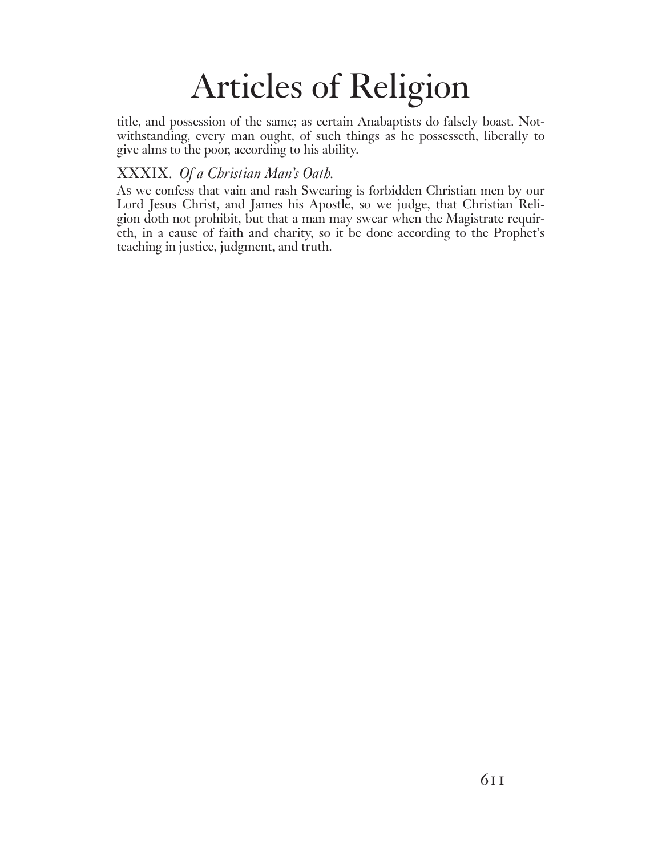title, and possession of the same; as certain Anabaptists do falsely boast. Notwithstanding, every man ought, of such things as he possesseth, liberally to give alms to the poor, according to his ability.

## XXXIX. *Of a Christian Man's Oath.*

As we confess that vain and rash Swearing is forbidden Christian men by our Lord Jesus Christ, and James his Apostle, so we judge, that Christian Religion doth not prohibit, but that a man may swear when the Magistrate requireth, in a cause of faith and charity, so it be done according to the Prophet's teaching in justice, judgment, and truth.